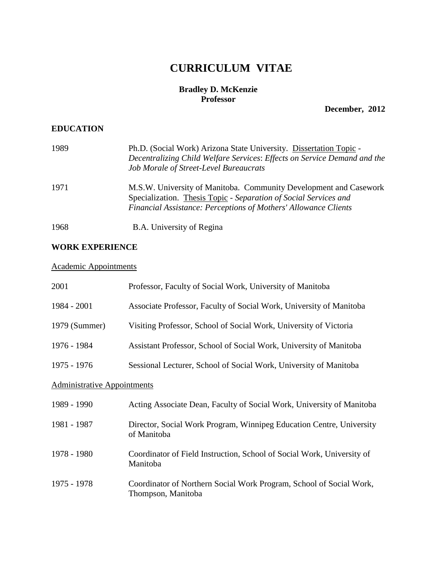# **CURRICULUM VITAE**

## **Bradley D. McKenzie Professor**

**December, 2012**

# **EDUCATION**

| 1989 | Ph.D. (Social Work) Arizona State University. Dissertation Topic -<br>Decentralizing Child Welfare Services: Effects on Service Demand and the<br>Job Morale of Street-Level Bureaucrats                 |
|------|----------------------------------------------------------------------------------------------------------------------------------------------------------------------------------------------------------|
| 1971 | M.S.W. University of Manitoba. Community Development and Casework<br>Specialization. Thesis Topic - Separation of Social Services and<br>Financial Assistance: Perceptions of Mothers' Allowance Clients |
| 1968 | B.A. University of Regina                                                                                                                                                                                |

## **WORK EXPERIENCE**

# Academic Appointments

| 2001                               | Professor, Faculty of Social Work, University of Manitoba                                 |  |
|------------------------------------|-------------------------------------------------------------------------------------------|--|
| 1984 - 2001                        | Associate Professor, Faculty of Social Work, University of Manitoba                       |  |
| 1979 (Summer)                      | Visiting Professor, School of Social Work, University of Victoria                         |  |
| 1976 - 1984                        | Assistant Professor, School of Social Work, University of Manitoba                        |  |
| 1975 - 1976                        | Sessional Lecturer, School of Social Work, University of Manitoba                         |  |
| <b>Administrative Appointments</b> |                                                                                           |  |
| 1989 - 1990                        | Acting Associate Dean, Faculty of Social Work, University of Manitoba                     |  |
| 1981 - 1987                        | Director, Social Work Program, Winnipeg Education Centre, University<br>of Manitoba       |  |
| 1978 - 1980                        | Coordinator of Field Instruction, School of Social Work, University of<br>Manitoba        |  |
| 1975 - 1978                        | Coordinator of Northern Social Work Program, School of Social Work,<br>Thompson, Manitoba |  |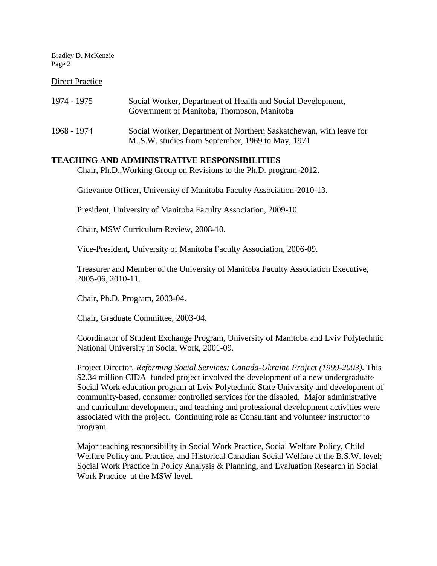#### Direct Practice

| 1974 - 1975 | Social Worker, Department of Health and Social Development,<br>Government of Manitoba, Thompson, Manitoba              |
|-------------|------------------------------------------------------------------------------------------------------------------------|
| 1968 - 1974 | Social Worker, Department of Northern Saskatchewan, with leave for<br>M.S.W. studies from September, 1969 to May, 1971 |

#### **TEACHING AND ADMINISTRATIVE RESPONSIBILITIES**

Chair, Ph.D.,Working Group on Revisions to the Ph.D. program-2012.

Grievance Officer, University of Manitoba Faculty Association-2010-13.

President, University of Manitoba Faculty Association, 2009-10.

Chair, MSW Curriculum Review, 2008-10.

Vice-President, University of Manitoba Faculty Association, 2006-09.

Treasurer and Member of the University of Manitoba Faculty Association Executive, 2005-06, 2010-11.

Chair, Ph.D. Program, 2003-04.

Chair, Graduate Committee, 2003-04.

Coordinator of Student Exchange Program, University of Manitoba and Lviv Polytechnic National University in Social Work, 2001-09.

Project Director, *Reforming Social Services: Canada-Ukraine Project (1999-2003)*. This \$2.34 million CIDA funded project involved the development of a new undergraduate Social Work education program at Lviv Polytechnic State University and development of community-based, consumer controlled services for the disabled. Major administrative and curriculum development, and teaching and professional development activities were associated with the project. Continuing role as Consultant and volunteer instructor to program.

Major teaching responsibility in Social Work Practice, Social Welfare Policy, Child Welfare Policy and Practice, and Historical Canadian Social Welfare at the B.S.W. level; Social Work Practice in Policy Analysis & Planning, and Evaluation Research in Social Work Practice at the MSW level.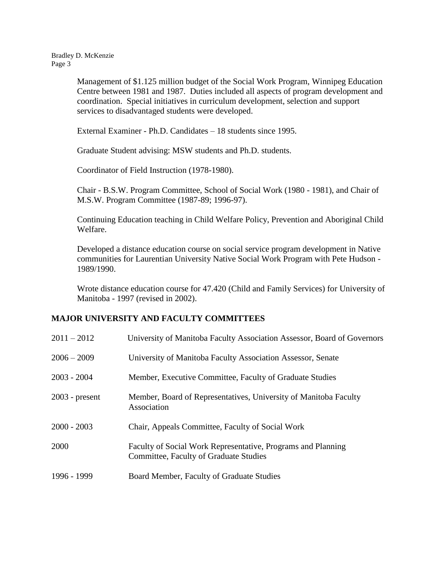> Management of \$1.125 million budget of the Social Work Program, Winnipeg Education Centre between 1981 and 1987. Duties included all aspects of program development and coordination. Special initiatives in curriculum development, selection and support services to disadvantaged students were developed.

External Examiner - Ph.D. Candidates – 18 students since 1995.

Graduate Student advising: MSW students and Ph.D. students.

Coordinator of Field Instruction (1978-1980).

Chair - B.S.W. Program Committee, School of Social Work (1980 - 1981), and Chair of M.S.W. Program Committee (1987-89; 1996-97).

Continuing Education teaching in Child Welfare Policy, Prevention and Aboriginal Child Welfare.

Developed a distance education course on social service program development in Native communities for Laurentian University Native Social Work Program with Pete Hudson - 1989/1990.

Wrote distance education course for 47.420 (Child and Family Services) for University of Manitoba - 1997 (revised in 2002).

#### **MAJOR UNIVERSITY AND FACULTY COMMITTEES**

| $2011 - 2012$    | University of Manitoba Faculty Association Assessor, Board of Governors                                |
|------------------|--------------------------------------------------------------------------------------------------------|
| $2006 - 2009$    | University of Manitoba Faculty Association Assessor, Senate                                            |
| $2003 - 2004$    | Member, Executive Committee, Faculty of Graduate Studies                                               |
| $2003$ - present | Member, Board of Representatives, University of Manitoba Faculty<br>Association                        |
| $2000 - 2003$    | Chair, Appeals Committee, Faculty of Social Work                                                       |
| 2000             | Faculty of Social Work Representative, Programs and Planning<br>Committee, Faculty of Graduate Studies |
| 1996 - 1999      | Board Member, Faculty of Graduate Studies                                                              |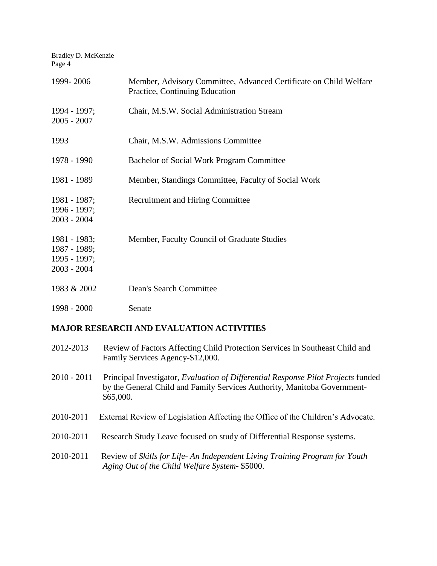Bradley D. McKenzie Page 4 1999- 2006 Member, Advisory Committee, Advanced Certificate on Child Welfare Practice, Continuing Education 1994 - 1997; Chair, M.S.W. Social Administration Stream 2005 - 2007 1993 Chair, M.S.W. Admissions Committee 1978 - 1990 Bachelor of Social Work Program Committee 1981 - 1989 Member, Standings Committee, Faculty of Social Work 1981 - 1987; Recruitment and Hiring Committee 1996 - 1997; 2003 - 2004 1981 - 1983; Member, Faculty Council of Graduate Studies 1987 - 1989; 1995 - 1997; 2003 - 2004 1983 & 2002 Dean's Search Committee 1998 - 2000 Senate

# **MAJOR RESEARCH AND EVALUATION ACTIVITIES**

| 2012-2013 | Review of Factors Affecting Child Protection Services in Southeast Child and |
|-----------|------------------------------------------------------------------------------|
|           | Family Services Agency-\$12,000.                                             |

- 2010 2011 Principal Investigator, *Evaluation of Differential Response Pilot Projects* funded by the General Child and Family Services Authority, Manitoba Government- \$65,000.
- 2010-2011 External Review of Legislation Affecting the Office of the Children's Advocate.
- 2010-2011 Research Study Leave focused on study of Differential Response systems.
- 2010-2011 Review of *Skills for Life An Independent Living Training Program for Youth Aging Out of the Child Welfare System*- \$5000.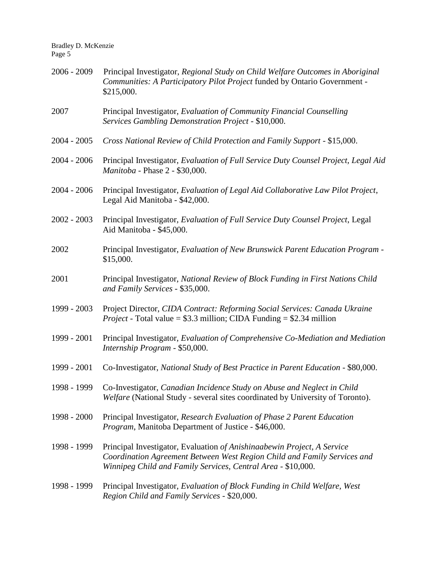| 2006 - 2009 | Principal Investigator, Regional Study on Child Welfare Outcomes in Aboriginal<br>Communities: A Participatory Pilot Project funded by Ontario Government -<br>\$215,000.                                           |
|-------------|---------------------------------------------------------------------------------------------------------------------------------------------------------------------------------------------------------------------|
| 2007        | Principal Investigator, Evaluation of Community Financial Counselling<br>Services Gambling Demonstration Project - \$10,000.                                                                                        |
| 2004 - 2005 | Cross National Review of Child Protection and Family Support - \$15,000.                                                                                                                                            |
| 2004 - 2006 | Principal Investigator, Evaluation of Full Service Duty Counsel Project, Legal Aid<br>Manitoba - Phase 2 - \$30,000.                                                                                                |
| 2004 - 2006 | Principal Investigator, Evaluation of Legal Aid Collaborative Law Pilot Project,<br>Legal Aid Manitoba - \$42,000.                                                                                                  |
| 2002 - 2003 | Principal Investigator, Evaluation of Full Service Duty Counsel Project, Legal<br>Aid Manitoba - \$45,000.                                                                                                          |
| 2002        | Principal Investigator, Evaluation of New Brunswick Parent Education Program -<br>\$15,000.                                                                                                                         |
| 2001        | Principal Investigator, National Review of Block Funding in First Nations Child<br>and Family Services - \$35,000.                                                                                                  |
| 1999 - 2003 | Project Director, CIDA Contract: Reforming Social Services: Canada Ukraine<br><i>Project</i> - Total value = $$3.3$ million; CIDA Funding = $$2.34$ million                                                         |
| 1999 - 2001 | Principal Investigator, Evaluation of Comprehensive Co-Mediation and Mediation<br>Internship Program - \$50,000.                                                                                                    |
| 1999 - 2001 | Co-Investigator, National Study of Best Practice in Parent Education - \$80,000.                                                                                                                                    |
|             | 1998 - 1999 Co-Investigator, Canadian Incidence Study on Abuse and Neglect in Child<br>Welfare (National Study - several sites coordinated by University of Toronto).                                               |
| 1998 - 2000 | Principal Investigator, Research Evaluation of Phase 2 Parent Education<br>Program, Manitoba Department of Justice - \$46,000.                                                                                      |
| 1998 - 1999 | Principal Investigator, Evaluation of Anishinaabewin Project, A Service<br>Coordination Agreement Between West Region Child and Family Services and<br>Winnipeg Child and Family Services, Central Area - \$10,000. |
| 1998 - 1999 | Principal Investigator, Evaluation of Block Funding in Child Welfare, West<br>Region Child and Family Services - \$20,000.                                                                                          |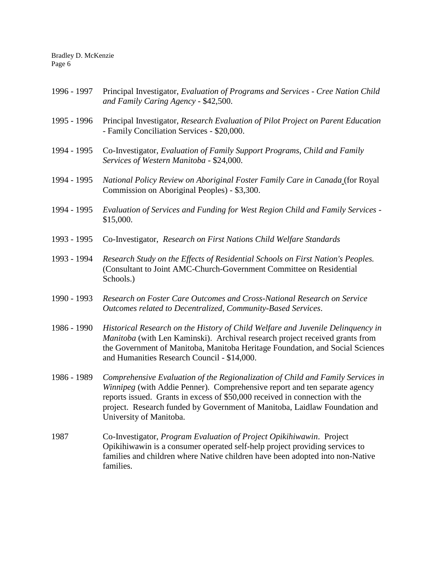| 1996 - 1997 | Principal Investigator, Evaluation of Programs and Services - Cree Nation Child<br>and Family Caring Agency - \$42,500.                                                                                                                                                                                                                                |
|-------------|--------------------------------------------------------------------------------------------------------------------------------------------------------------------------------------------------------------------------------------------------------------------------------------------------------------------------------------------------------|
| 1995 - 1996 | Principal Investigator, Research Evaluation of Pilot Project on Parent Education<br>- Family Conciliation Services - \$20,000.                                                                                                                                                                                                                         |
| 1994 - 1995 | Co-Investigator, Evaluation of Family Support Programs, Child and Family<br>Services of Western Manitoba - \$24,000.                                                                                                                                                                                                                                   |
| 1994 - 1995 | National Policy Review on Aboriginal Foster Family Care in Canada (for Royal<br>Commission on Aboriginal Peoples) - \$3,300.                                                                                                                                                                                                                           |
| 1994 - 1995 | Evaluation of Services and Funding for West Region Child and Family Services -<br>\$15,000.                                                                                                                                                                                                                                                            |
| 1993 - 1995 | Co-Investigator, Research on First Nations Child Welfare Standards                                                                                                                                                                                                                                                                                     |
| 1993 - 1994 | Research Study on the Effects of Residential Schools on First Nation's Peoples.<br>(Consultant to Joint AMC-Church-Government Committee on Residential<br>Schools.)                                                                                                                                                                                    |
| 1990 - 1993 | Research on Foster Care Outcomes and Cross-National Research on Service<br>Outcomes related to Decentralized, Community-Based Services.                                                                                                                                                                                                                |
| 1986 - 1990 | Historical Research on the History of Child Welfare and Juvenile Delinquency in<br>Manitoba (with Len Kaminski). Archival research project received grants from<br>the Government of Manitoba, Manitoba Heritage Foundation, and Social Sciences<br>and Humanities Research Council - \$14,000.                                                        |
| 1986 - 1989 | Comprehensive Evaluation of the Regionalization of Child and Family Services in<br>Winnipeg (with Addie Penner). Comprehensive report and ten separate agency<br>reports issued. Grants in excess of \$50,000 received in connection with the<br>project. Research funded by Government of Manitoba, Laidlaw Foundation and<br>University of Manitoba. |
| 1987        | Co-Investigator, <i>Program Evaluation of Project Opikihiwawin</i> . Project<br>Opikihiwawin is a consumer operated self-help project providing services to<br>families and children where Native children have been adopted into non-Native<br>families.                                                                                              |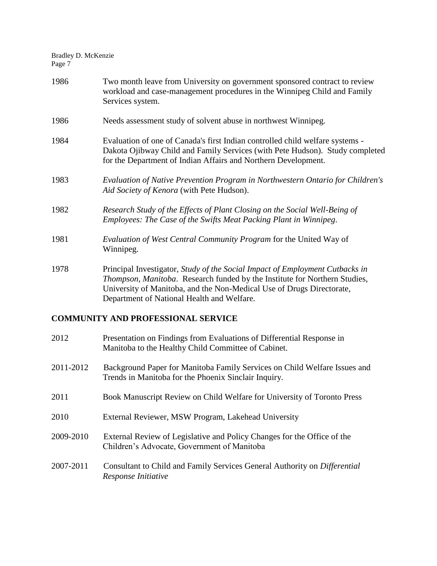| 1986 | Two month leave from University on government sponsored contract to review<br>workload and case-management procedures in the Winnipeg Child and Family<br>Services system.                                                                                                        |
|------|-----------------------------------------------------------------------------------------------------------------------------------------------------------------------------------------------------------------------------------------------------------------------------------|
| 1986 | Needs assessment study of solvent abuse in northwest Winnipeg.                                                                                                                                                                                                                    |
| 1984 | Evaluation of one of Canada's first Indian controlled child welfare systems -<br>Dakota Ojibway Child and Family Services (with Pete Hudson). Study completed<br>for the Department of Indian Affairs and Northern Development.                                                   |
| 1983 | Evaluation of Native Prevention Program in Northwestern Ontario for Children's<br>Aid Society of Kenora (with Pete Hudson).                                                                                                                                                       |
| 1982 | Research Study of the Effects of Plant Closing on the Social Well-Being of<br>Employees: The Case of the Swifts Meat Packing Plant in Winnipeg.                                                                                                                                   |
| 1981 | Evaluation of West Central Community Program for the United Way of<br>Winnipeg.                                                                                                                                                                                                   |
| 1978 | Principal Investigator, Study of the Social Impact of Employment Cutbacks in<br>Thompson, Manitoba. Research funded by the Institute for Northern Studies,<br>University of Manitoba, and the Non-Medical Use of Drugs Directorate,<br>Department of National Health and Welfare. |
|      | <b>COMMUNITY AND PROFESSIONAL SERVICE</b>                                                                                                                                                                                                                                         |

### 2012 Presentation on Findings from Evaluations of Differential Response in Manitoba to the Healthy Child Committee of Cabinet.

- 2011-2012 Background Paper for Manitoba Family Services on Child Welfare Issues and Trends in Manitoba for the Phoenix Sinclair Inquiry.
- 2011 Book Manuscript Review on Child Welfare for University of Toronto Press
- 2010 External Reviewer, MSW Program, Lakehead University
- 2009-2010 External Review of Legislative and Policy Changes for the Office of the Children's Advocate, Government of Manitoba
- 2007-2011 Consultant to Child and Family Services General Authority on *Differential Response Initiative*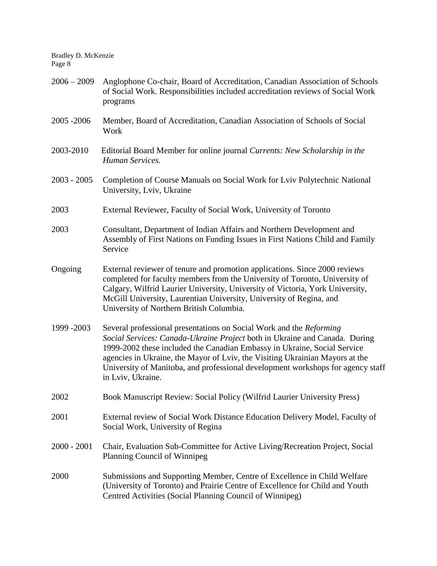| $2006 - 2009$ | Anglophone Co-chair, Board of Accreditation, Canadian Association of Schools<br>of Social Work. Responsibilities included accreditation reviews of Social Work<br>programs                                                                                                                                                                                                                                            |
|---------------|-----------------------------------------------------------------------------------------------------------------------------------------------------------------------------------------------------------------------------------------------------------------------------------------------------------------------------------------------------------------------------------------------------------------------|
| 2005 - 2006   | Member, Board of Accreditation, Canadian Association of Schools of Social<br>Work                                                                                                                                                                                                                                                                                                                                     |
| 2003-2010     | Editorial Board Member for online journal Currents: New Scholarship in the<br>Human Services.                                                                                                                                                                                                                                                                                                                         |
| $2003 - 2005$ | Completion of Course Manuals on Social Work for Lviv Polytechnic National<br>University, Lviv, Ukraine                                                                                                                                                                                                                                                                                                                |
| 2003          | External Reviewer, Faculty of Social Work, University of Toronto                                                                                                                                                                                                                                                                                                                                                      |
| 2003          | Consultant, Department of Indian Affairs and Northern Development and<br>Assembly of First Nations on Funding Issues in First Nations Child and Family<br>Service                                                                                                                                                                                                                                                     |
| Ongoing       | External reviewer of tenure and promotion applications. Since 2000 reviews<br>completed for faculty members from the University of Toronto, University of<br>Calgary, Wilfrid Laurier University, University of Victoria, York University,<br>McGill University, Laurentian University, University of Regina, and<br>University of Northern British Columbia.                                                         |
| 1999 - 2003   | Several professional presentations on Social Work and the Reforming<br>Social Services: Canada-Ukraine Project both in Ukraine and Canada. During<br>1999-2002 these included the Canadian Embassy in Ukraine, Social Service<br>agencies in Ukraine, the Mayor of Lviv, the Visiting Ukrainian Mayors at the<br>University of Manitoba, and professional development workshops for agency staff<br>in Lviv, Ukraine. |
| 2002          | Book Manuscript Review: Social Policy (Wilfrid Laurier University Press)                                                                                                                                                                                                                                                                                                                                              |
| 2001          | External review of Social Work Distance Education Delivery Model, Faculty of<br>Social Work, University of Regina                                                                                                                                                                                                                                                                                                     |
| $2000 - 2001$ | Chair, Evaluation Sub-Committee for Active Living/Recreation Project, Social<br>Planning Council of Winnipeg                                                                                                                                                                                                                                                                                                          |
| 2000          | Submissions and Supporting Member, Centre of Excellence in Child Welfare<br>(University of Toronto) and Prairie Centre of Excellence for Child and Youth<br>Centred Activities (Social Planning Council of Winnipeg)                                                                                                                                                                                                  |
|               |                                                                                                                                                                                                                                                                                                                                                                                                                       |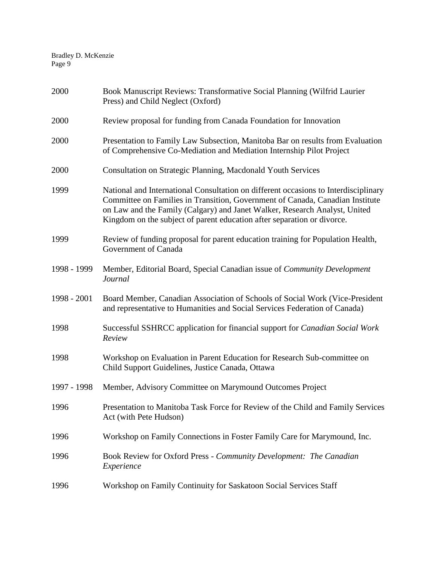| 2000        | Book Manuscript Reviews: Transformative Social Planning (Wilfrid Laurier<br>Press) and Child Neglect (Oxford)                                                                                                                                                                                                                 |
|-------------|-------------------------------------------------------------------------------------------------------------------------------------------------------------------------------------------------------------------------------------------------------------------------------------------------------------------------------|
| 2000        | Review proposal for funding from Canada Foundation for Innovation                                                                                                                                                                                                                                                             |
| 2000        | Presentation to Family Law Subsection, Manitoba Bar on results from Evaluation<br>of Comprehensive Co-Mediation and Mediation Internship Pilot Project                                                                                                                                                                        |
| 2000        | Consultation on Strategic Planning, Macdonald Youth Services                                                                                                                                                                                                                                                                  |
| 1999        | National and International Consultation on different occasions to Interdisciplinary<br>Committee on Families in Transition, Government of Canada, Canadian Institute<br>on Law and the Family (Calgary) and Janet Walker, Research Analyst, United<br>Kingdom on the subject of parent education after separation or divorce. |
| 1999        | Review of funding proposal for parent education training for Population Health,<br>Government of Canada                                                                                                                                                                                                                       |
| 1998 - 1999 | Member, Editorial Board, Special Canadian issue of Community Development<br>Journal                                                                                                                                                                                                                                           |
| 1998 - 2001 | Board Member, Canadian Association of Schools of Social Work (Vice-President<br>and representative to Humanities and Social Services Federation of Canada)                                                                                                                                                                    |
| 1998        | Successful SSHRCC application for financial support for Canadian Social Work<br>Review                                                                                                                                                                                                                                        |
| 1998        | Workshop on Evaluation in Parent Education for Research Sub-committee on<br>Child Support Guidelines, Justice Canada, Ottawa                                                                                                                                                                                                  |
| 1997 - 1998 | Member, Advisory Committee on Marymound Outcomes Project                                                                                                                                                                                                                                                                      |
| 1996        | Presentation to Manitoba Task Force for Review of the Child and Family Services<br>Act (with Pete Hudson)                                                                                                                                                                                                                     |
| 1996        | Workshop on Family Connections in Foster Family Care for Marymound, Inc.                                                                                                                                                                                                                                                      |
| 1996        | Book Review for Oxford Press - Community Development: The Canadian<br>Experience                                                                                                                                                                                                                                              |
| 1996        | Workshop on Family Continuity for Saskatoon Social Services Staff                                                                                                                                                                                                                                                             |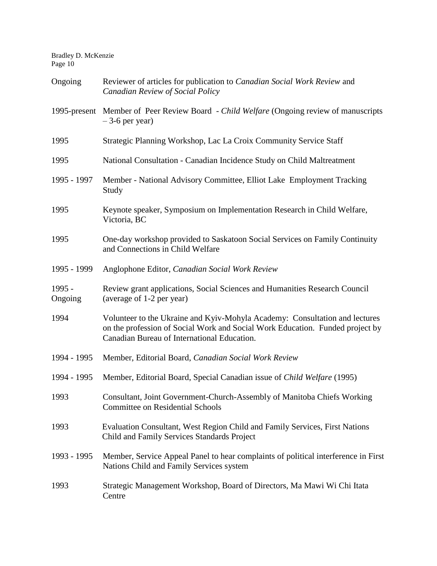| Ongoing             | Reviewer of articles for publication to Canadian Social Work Review and<br><b>Canadian Review of Social Policy</b>                                                                                          |
|---------------------|-------------------------------------------------------------------------------------------------------------------------------------------------------------------------------------------------------------|
|                     | 1995-present Member of Peer Review Board - Child Welfare (Ongoing review of manuscripts<br>$-3$ -6 per year)                                                                                                |
| 1995                | Strategic Planning Workshop, Lac La Croix Community Service Staff                                                                                                                                           |
| 1995                | National Consultation - Canadian Incidence Study on Child Maltreatment                                                                                                                                      |
| 1995 - 1997         | Member - National Advisory Committee, Elliot Lake Employment Tracking<br>Study                                                                                                                              |
| 1995                | Keynote speaker, Symposium on Implementation Research in Child Welfare,<br>Victoria, BC                                                                                                                     |
| 1995                | One-day workshop provided to Saskatoon Social Services on Family Continuity<br>and Connections in Child Welfare                                                                                             |
| 1995 - 1999         | Anglophone Editor, Canadian Social Work Review                                                                                                                                                              |
| $1995 -$<br>Ongoing | Review grant applications, Social Sciences and Humanities Research Council<br>(average of 1-2 per year)                                                                                                     |
| 1994                | Volunteer to the Ukraine and Kyiv-Mohyla Academy: Consultation and lectures<br>on the profession of Social Work and Social Work Education. Funded project by<br>Canadian Bureau of International Education. |
| 1994 - 1995         | Member, Editorial Board, Canadian Social Work Review                                                                                                                                                        |
| 1994 - 1995         | Member, Editorial Board, Special Canadian issue of Child Welfare (1995)                                                                                                                                     |
| 1993                | Consultant, Joint Government-Church-Assembly of Manitoba Chiefs Working<br><b>Committee on Residential Schools</b>                                                                                          |
| 1993                | Evaluation Consultant, West Region Child and Family Services, First Nations<br>Child and Family Services Standards Project                                                                                  |
| 1993 - 1995         | Member, Service Appeal Panel to hear complaints of political interference in First<br>Nations Child and Family Services system                                                                              |
| 1993                | Strategic Management Workshop, Board of Directors, Ma Mawi Wi Chi Itata<br>Centre                                                                                                                           |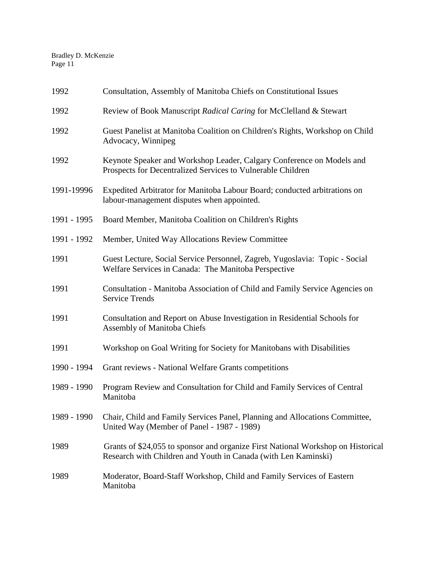| 1992        | Consultation, Assembly of Manitoba Chiefs on Constitutional Issues                                                                                 |
|-------------|----------------------------------------------------------------------------------------------------------------------------------------------------|
| 1992        | Review of Book Manuscript Radical Caring for McClelland & Stewart                                                                                  |
| 1992        | Guest Panelist at Manitoba Coalition on Children's Rights, Workshop on Child<br>Advocacy, Winnipeg                                                 |
| 1992        | Keynote Speaker and Workshop Leader, Calgary Conference on Models and<br>Prospects for Decentralized Services to Vulnerable Children               |
| 1991-19996  | Expedited Arbitrator for Manitoba Labour Board; conducted arbitrations on<br>labour-management disputes when appointed.                            |
| 1991 - 1995 | Board Member, Manitoba Coalition on Children's Rights                                                                                              |
| 1991 - 1992 | Member, United Way Allocations Review Committee                                                                                                    |
| 1991        | Guest Lecture, Social Service Personnel, Zagreb, Yugoslavia: Topic - Social<br>Welfare Services in Canada: The Manitoba Perspective                |
| 1991        | Consultation - Manitoba Association of Child and Family Service Agencies on<br><b>Service Trends</b>                                               |
| 1991        | Consultation and Report on Abuse Investigation in Residential Schools for<br><b>Assembly of Manitoba Chiefs</b>                                    |
| 1991        | Workshop on Goal Writing for Society for Manitobans with Disabilities                                                                              |
| 1990 - 1994 | Grant reviews - National Welfare Grants competitions                                                                                               |
| 1989 - 1990 | Program Review and Consultation for Child and Family Services of Central<br>Manitoba                                                               |
| 1989 - 1990 | Chair, Child and Family Services Panel, Planning and Allocations Committee,<br>United Way (Member of Panel - 1987 - 1989)                          |
| 1989        | Grants of \$24,055 to sponsor and organize First National Workshop on Historical<br>Research with Children and Youth in Canada (with Len Kaminski) |
| 1989        | Moderator, Board-Staff Workshop, Child and Family Services of Eastern<br>Manitoba                                                                  |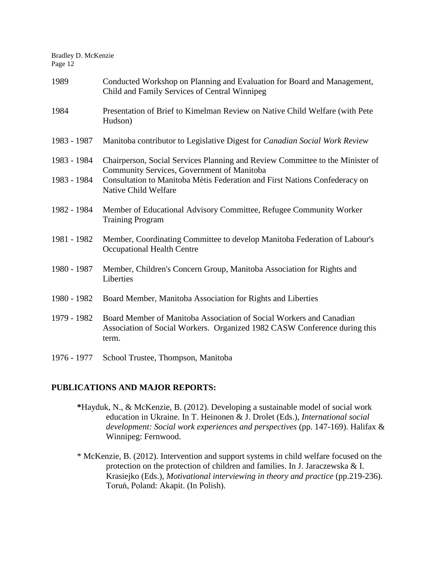| 1989                       | Conducted Workshop on Planning and Evaluation for Board and Management,<br>Child and Family Services of Central Winnipeg                                                                                                          |
|----------------------------|-----------------------------------------------------------------------------------------------------------------------------------------------------------------------------------------------------------------------------------|
| 1984                       | Presentation of Brief to Kimelman Review on Native Child Welfare (with Pete<br>Hudson)                                                                                                                                            |
| 1983 - 1987                | Manitoba contributor to Legislative Digest for Canadian Social Work Review                                                                                                                                                        |
| 1983 - 1984<br>1983 - 1984 | Chairperson, Social Services Planning and Review Committee to the Minister of<br>Community Services, Government of Manitoba<br>Consultation to Manitoba Mètis Federation and First Nations Confederacy on<br>Native Child Welfare |
| 1982 - 1984                | Member of Educational Advisory Committee, Refugee Community Worker<br><b>Training Program</b>                                                                                                                                     |
| 1981 - 1982                | Member, Coordinating Committee to develop Manitoba Federation of Labour's<br>Occupational Health Centre                                                                                                                           |
| 1980 - 1987                | Member, Children's Concern Group, Manitoba Association for Rights and<br>Liberties                                                                                                                                                |
| 1980 - 1982                | Board Member, Manitoba Association for Rights and Liberties                                                                                                                                                                       |
| 1979 - 1982                | Board Member of Manitoba Association of Social Workers and Canadian<br>Association of Social Workers. Organized 1982 CASW Conference during this<br>term.                                                                         |

# **PUBLICATIONS AND MAJOR REPORTS:**

1976 - 1977 School Trustee, Thompson, Manitoba

- **\***Hayduk, N., & McKenzie, B. (2012). Developing a sustainable model of social work education in Ukraine. In T. Heinonen & J. Drolet (Eds.), *International social development: Social work experiences and perspectives* (pp. 147-169). Halifax & Winnipeg: Fernwood.
- \* McKenzie, B. (2012). Intervention and support systems in child welfare focused on the protection on the protection of children and families. In J. Jaraczewska & I. Krasiejko (Eds.), *Motivational interviewing in theory and practice* (pp.219-236). Toruń, Poland: Akapit. (In Polish).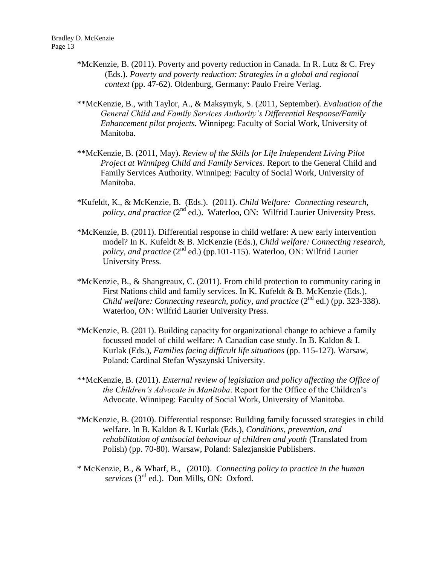- \*McKenzie, B. (2011). Poverty and poverty reduction in Canada. In R. Lutz & C. Frey (Eds.). *Poverty and poverty reduction: Strategies in a global and regional context* (pp. 47-62). Oldenburg, Germany: Paulo Freire Verlag.
- \*\*McKenzie, B., with Taylor, A., & Maksymyk, S. (2011, September). *Evaluation of the General Child and Family Services Authority's Differential Response/Family Enhancement pilot projects.* Winnipeg: Faculty of Social Work, University of Manitoba.
- \*\*McKenzie, B. (2011, May). *Review of the Skills for Life Independent Living Pilot Project at Winnipeg Child and Family Services*. Report to the General Child and Family Services Authority. Winnipeg: Faculty of Social Work, University of Manitoba.
- \*Kufeldt, K., & McKenzie, B. (Eds.). (2011). *Child Welfare: Connecting research, policy, and practice* (2<sup>nd</sup> ed.). Waterloo, ON: Wilfrid Laurier University Press.
- \*McKenzie, B. (2011). Differential response in child welfare: A new early intervention model? In K. Kufeldt & B. McKenzie (Eds.), *Child welfare: Connecting research, policy, and practice*  $(2^{nd}$  ed.) (pp.101-115). Waterloo, ON: Wilfrid Laurier University Press.
- \*McKenzie, B., & Shangreaux, C. (2011). From child protection to community caring in First Nations child and family services. In K. Kufeldt & B. McKenzie (Eds.), *Child welfare: Connecting research, policy, and practice*  $(2^{nd}$  ed.) (pp. 323-338). Waterloo, ON: Wilfrid Laurier University Press.
- \*McKenzie, B. (2011). Building capacity for organizational change to achieve a family focussed model of child welfare: A Canadian case study. In B. Kaldon & I. Kurlak (Eds.), *Families facing difficult life situations* (pp. 115-127). Warsaw, Poland: Cardinal Stefan Wyszynski University.
- \*\*McKenzie, B. (2011). *External review of legislation and policy affecting the Office of the Children's Advocate in Manitoba*. Report for the Office of the Children's Advocate. Winnipeg: Faculty of Social Work, University of Manitoba.
- \*McKenzie, B. (2010). Differential response: Building family focussed strategies in child welfare. In B. Kaldon & I. Kurlak (Eds.), *Conditions, prevention, and rehabilitation of antisocial behaviour of children and youth* (Translated from Polish) (pp. 70-80). Warsaw, Poland: Salezjanskie Publishers.
- \* McKenzie, B., & Wharf, B., (2010). *Connecting policy to practice in the human services* (3rd ed.). Don Mills, ON: Oxford.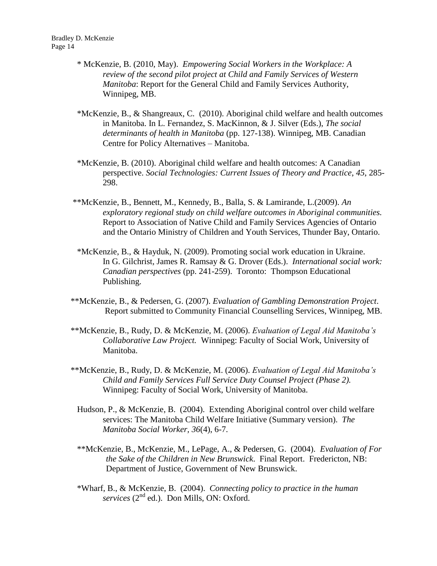- \* McKenzie, B. (2010, May). *Empowering Social Workers in the Workplace: A review of the second pilot project at Child and Family Services of Western Manitoba*: Report for the General Child and Family Services Authority, Winnipeg, MB.
- \*McKenzie, B., & Shangreaux, C. (2010). Aboriginal child welfare and health outcomes in Manitoba. In L. Fernandez, S. MacKinnon, & J. Silver (Eds.), *The social determinants of health in Manitoba* (pp. 127-138). Winnipeg, MB. Canadian Centre for Policy Alternatives – Manitoba.
- \*McKenzie, B. (2010). Aboriginal child welfare and health outcomes: A Canadian perspective. *Social Technologies: Current Issues of Theory and Practice*, *45*, 285- 298.
- \*\*McKenzie, B., Bennett, M., Kennedy, B., Balla, S. & Lamirande, L.(2009). *An exploratory regional study on child welfare outcomes in Aboriginal communities.*  Report to Association of Native Child and Family Services Agencies of Ontario and the Ontario Ministry of Children and Youth Services, Thunder Bay, Ontario.
- \*McKenzie, B., & Hayduk, N. (2009). Promoting social work education in Ukraine. In G. Gilchrist, James R. Ramsay & G. Drover (Eds.). *International social work: Canadian perspectives* (pp. 241-259). Toronto: Thompson Educational Publishing.
- \*\*McKenzie, B., & Pedersen, G. (2007). *Evaluation of Gambling Demonstration Project*. Report submitted to Community Financial Counselling Services, Winnipeg, MB.
- \*\*McKenzie, B., Rudy, D. & McKenzie, M. (2006). *Evaluation of Legal Aid Manitoba's Collaborative Law Project.* Winnipeg: Faculty of Social Work, University of Manitoba.
- \*\*McKenzie, B., Rudy, D. & McKenzie, M. (2006). *Evaluation of Legal Aid Manitoba's Child and Family Services Full Service Duty Counsel Project (Phase 2).*  Winnipeg: Faculty of Social Work, University of Manitoba.
	- Hudson, P., & McKenzie, B. (2004). Extending Aboriginal control over child welfare services: The Manitoba Child Welfare Initiative (Summary version). *The Manitoba Social Worker, 36*(4), 6-7.
	- \*\*McKenzie, B., McKenzie, M., LePage, A., & Pedersen, G. (2004). *Evaluation of For the Sake of the Children in New Brunswick*. Final Report. Fredericton, NB: Department of Justice, Government of New Brunswick.
	- \*Wharf, B., & McKenzie, B. (2004). *Connecting policy to practice in the human* services (2<sup>nd</sup> ed.). Don Mills, ON: Oxford.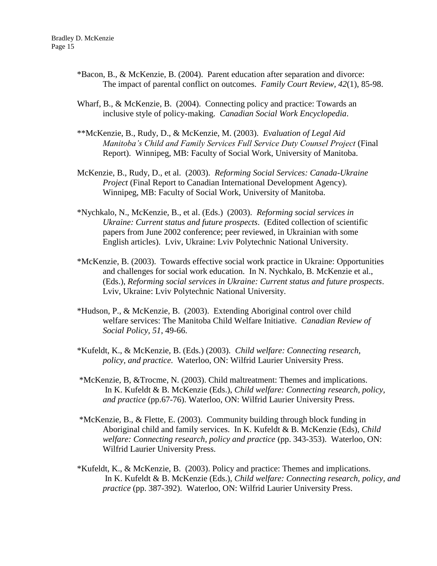- \*Bacon, B., & McKenzie, B. (2004). Parent education after separation and divorce: The impact of parental conflict on outcomes. *Family Court Review, 42*(1), 85-98.
- Wharf, B., & McKenzie, B. (2004). Connecting policy and practice: Towards an inclusive style of policy-making. *Canadian Social Work Encyclopedia*.
- \*\*McKenzie, B., Rudy, D., & McKenzie, M. (2003). *Evaluation of Legal Aid Manitoba's Child and Family Services Full Service Duty Counsel Project* (Final Report). Winnipeg, MB: Faculty of Social Work, University of Manitoba.
- McKenzie, B., Rudy, D., et al. (2003). *Reforming Social Services: Canada-Ukraine Project* (Final Report to Canadian International Development Agency). Winnipeg, MB: Faculty of Social Work, University of Manitoba.
- \*Nychkalo, N., McKenzie, B., et al. (Eds.) (2003). *Reforming social services in Ukraine: Current status and future prospects*. (Edited collection of scientific papers from June 2002 conference; peer reviewed, in Ukrainian with some English articles). Lviv, Ukraine: Lviv Polytechnic National University.
- \*McKenzie, B. (2003). Towards effective social work practice in Ukraine: Opportunities and challenges for social work education. In N. Nychkalo, B. McKenzie et al., (Eds.), *Reforming social services in Ukraine: Current status and future prospects*. Lviv, Ukraine: Lviv Polytechnic National University.
- \*Hudson, P., & McKenzie, B. (2003). Extending Aboriginal control over child welfare services: The Manitoba Child Welfare Initiative. *Canadian Review of Social Policy, 51*, 49-66.
- \*Kufeldt, K., & McKenzie, B. (Eds.) (2003). *Child welfare: Connecting research, policy, and practice*. Waterloo, ON: Wilfrid Laurier University Press.
- \*McKenzie, B, &Trocme, N. (2003). Child maltreatment: Themes and implications. In K. Kufeldt & B. McKenzie (Eds.), *Child welfare: Connecting research, policy, and practice* (pp.67-76). Waterloo, ON: Wilfrid Laurier University Press.
- \*McKenzie, B., & Flette, E. (2003). Community building through block funding in Aboriginal child and family services. In K. Kufeldt & B. McKenzie (Eds), *Child welfare: Connecting research, policy and practice* (pp. 343-353). Waterloo, ON: Wilfrid Laurier University Press.
- \*Kufeldt, K., & McKenzie, B. (2003). Policy and practice: Themes and implications. In K. Kufeldt & B. McKenzie (Eds.), *Child welfare: Connecting research, policy, and practice* (pp. 387-392). Waterloo, ON: Wilfrid Laurier University Press.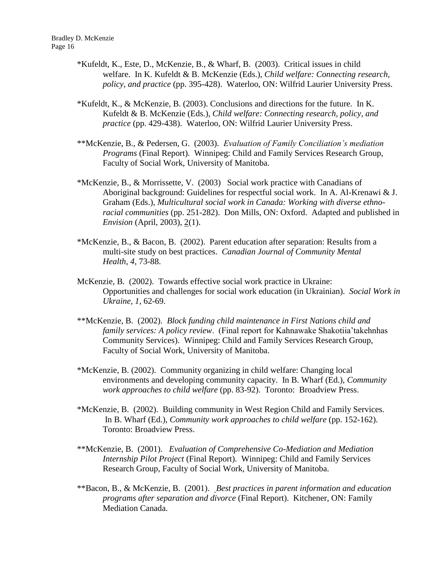- \*Kufeldt, K., Este, D., McKenzie, B., & Wharf, B. (2003). Critical issues in child welfare. In K. Kufeldt & B. McKenzie (Eds.), *Child welfare: Connecting research, policy, and practice* (pp. 395-428). Waterloo, ON: Wilfrid Laurier University Press.
- \*Kufeldt, K., & McKenzie, B. (2003). Conclusions and directions for the future. In K. Kufeldt & B. McKenzie (Eds.), *Child welfare: Connecting research, policy, and practice* (pp. 429-438). Waterloo, ON: Wilfrid Laurier University Press.
- \*\*McKenzie, B., & Pedersen, G. (2003). *Evaluation of Family Conciliation's mediation Programs* (Final Report). Winnipeg: Child and Family Services Research Group, Faculty of Social Work, University of Manitoba.
- \*McKenzie, B., & Morrissette, V. (2003) Social work practice with Canadians of Aboriginal background: Guidelines for respectful social work. In A. Al-Krenawi & J. Graham (Eds.), *Multicultural social work in Canada: Working with diverse ethnoracial communities* (pp. 251-282). Don Mills, ON: Oxford. Adapted and published in *Envision* (April, 2003), 2(1).
- \*McKenzie, B., & Bacon, B. (2002). Parent education after separation: Results from a multi-site study on best practices. *Canadian Journal of Community Mental Health, 4*, 73-88.
- McKenzie, B. (2002). Towards effective social work practice in Ukraine: Opportunities and challenges for social work education (in Ukrainian). *Social Work in Ukraine, 1*, 62-69.
- \*\*McKenzie, B. (2002). *Block funding child maintenance in First Nations child and family services: A policy review*. (Final report for Kahnawake Shakotiia'takehnhas Community Services). Winnipeg: Child and Family Services Research Group, Faculty of Social Work, University of Manitoba.
- \*McKenzie, B. (2002). Community organizing in child welfare: Changing local environments and developing community capacity. In B. Wharf (Ed.), *Community work approaches to child welfare* (pp. 83-92). Toronto: Broadview Press.
- \*McKenzie, B. (2002). Building community in West Region Child and Family Services. In B. Wharf (Ed.), *Community work approaches to child welfare* (pp. 152-162). Toronto: Broadview Press.
- \*\*McKenzie, B. (2001). *Evaluation of Comprehensive Co-Mediation and Mediation Internship Pilot Project* (Final Report). Winnipeg: Child and Family Services Research Group, Faculty of Social Work, University of Manitoba.
- \*\*Bacon, B., & McKenzie, B. (2001). *Best practices in parent information and education programs after separation and divorce* (Final Report). Kitchener, ON: Family Mediation Canada.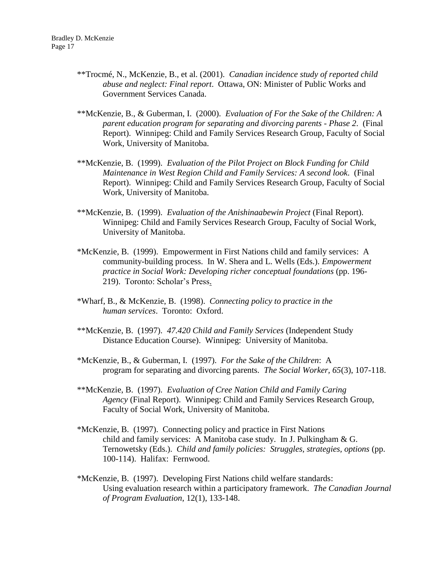- \*\*Trocmé, N., McKenzie, B., et al. (2001). *Canadian incidence study of reported child abuse and neglect: Final report*. Ottawa, ON: Minister of Public Works and Government Services Canada.
- \*\*McKenzie, B., & Guberman, I. (2000). *Evaluation of For the Sake of the Children: A parent education program for separating and divorcing parents - Phase 2*. (Final Report). Winnipeg: Child and Family Services Research Group, Faculty of Social Work, University of Manitoba.
- \*\*McKenzie, B. (1999). *Evaluation of the Pilot Project on Block Funding for Child Maintenance in West Region Child and Family Services: A second look*. (Final Report). Winnipeg: Child and Family Services Research Group, Faculty of Social Work, University of Manitoba.
- \*\*McKenzie, B. (1999). *Evaluation of the Anishinaabewin Project* (Final Report). Winnipeg: Child and Family Services Research Group, Faculty of Social Work, University of Manitoba.
- \*McKenzie, B. (1999). Empowerment in First Nations child and family services: A community-building process. In W. Shera and L. Wells (Eds.). *Empowerment practice in Social Work: Developing richer conceptual foundations* (pp. 196- 219). Toronto: Scholar's Press.
- \*Wharf, B., & McKenzie, B. (1998). *Connecting policy to practice in the human services*. Toronto: Oxford.
- \*\*McKenzie, B. (1997). *47.420 Child and Family Services* (Independent Study Distance Education Course). Winnipeg: University of Manitoba.
- \*McKenzie, B., & Guberman, I. (1997). *For the Sake of the Children*: A program for separating and divorcing parents. *The Social Worker, 65*(3), 107-118.
- \*\*McKenzie, B. (1997). *Evaluation of Cree Nation Child and Family Caring Agency* (Final Report). Winnipeg: Child and Family Services Research Group, Faculty of Social Work, University of Manitoba.
- \*McKenzie, B. (1997). Connecting policy and practice in First Nations child and family services: A Manitoba case study. In J. Pulkingham & G. Ternowetsky (Eds.). *Child and family policies: Struggles, strategies, options* (pp. 100-114). Halifax: Fernwood.
- \*McKenzie, B. (1997). Developing First Nations child welfare standards: Using evaluation research within a participatory framework. *The Canadian Journal of Program Evaluation*, 12(1), 133-148.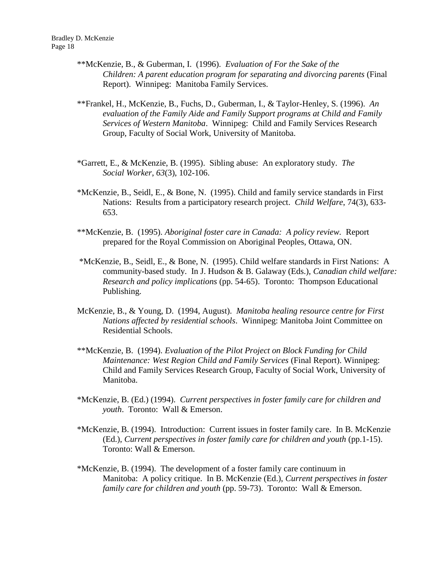- \*\*McKenzie, B., & Guberman, I. (1996). *Evaluation of For the Sake of the Children: A parent education program for separating and divorcing parents* (Final Report). Winnipeg: Manitoba Family Services.
- \*\*Frankel, H., McKenzie, B., Fuchs, D., Guberman, I., & Taylor-Henley, S. (1996). *An evaluation of the Family Aide and Family Support programs at Child and Family Services of Western Manitoba*. Winnipeg: Child and Family Services Research Group, Faculty of Social Work, University of Manitoba.
- \*Garrett, E., & McKenzie, B. (1995). Sibling abuse: An exploratory study. *The Social Worker*, *63*(3), 102-106.
- \*McKenzie, B., Seidl, E., & Bone, N. (1995). Child and family service standards in First Nations: Results from a participatory research project. *Child Welfare*, 74(3), 633- 653.
- \*\*McKenzie, B. (1995). *Aboriginal foster care in Canada: A policy review.* Report prepared for the Royal Commission on Aboriginal Peoples, Ottawa, ON.
- \*McKenzie, B., Seidl, E., & Bone, N. (1995). Child welfare standards in First Nations: A community-based study. In J. Hudson & B. Galaway (Eds.), *Canadian child welfare: Research and policy implications* (pp. 54-65). Toronto: Thompson Educational Publishing.
- McKenzie, B., & Young, D. (1994, August). *Manitoba healing resource centre for First Nations affected by residential schools*. Winnipeg: Manitoba Joint Committee on Residential Schools.
- \*\*McKenzie, B. (1994). *Evaluation of the Pilot Project on Block Funding for Child Maintenance: West Region Child and Family Services* (Final Report). Winnipeg: Child and Family Services Research Group, Faculty of Social Work, University of Manitoba.
- \*McKenzie, B. (Ed.) (1994). *Current perspectives in foster family care for children and youth*. Toronto: Wall & Emerson.
- \*McKenzie, B. (1994). Introduction: Current issues in foster family care. In B. McKenzie (Ed.), *Current perspectives in foster family care for children and youth* (pp.1-15). Toronto: Wall & Emerson.
- \*McKenzie, B. (1994). The development of a foster family care continuum in Manitoba: A policy critique. In B. McKenzie (Ed.), *Current perspectives in foster family care for children and youth* (pp. 59-73). Toronto: Wall & Emerson.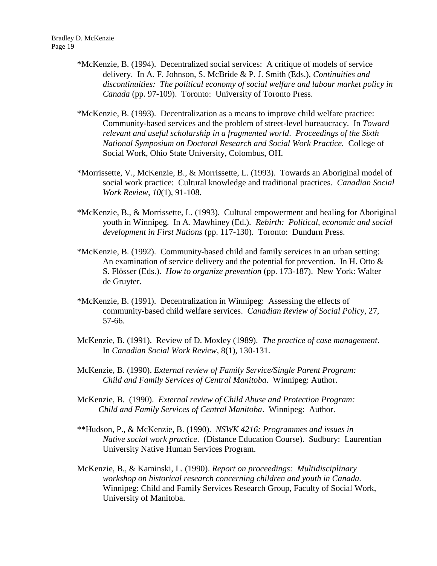- \*McKenzie, B. (1994). Decentralized social services: A critique of models of service delivery. In A. F. Johnson, S. McBride & P. J. Smith (Eds.), *Continuities and discontinuities: The political economy of social welfare and labour market policy in Canada* (pp. 97-109). Toronto: University of Toronto Press.
- \*McKenzie, B. (1993). Decentralization as a means to improve child welfare practice: Community-based services and the problem of street-level bureaucracy. In *Toward relevant and useful scholarship in a fragmented world*. *Proceedings of the Sixth National Symposium on Doctoral Research and Social Work Practice.* College of Social Work, Ohio State University, Colombus, OH.
- \*Morrissette, V., McKenzie, B., & Morrissette, L. (1993). Towards an Aboriginal model of social work practice: Cultural knowledge and traditional practices. *Canadian Social Work Review, 10*(1), 91-108.
- \*McKenzie, B., & Morrissette, L. (1993). Cultural empowerment and healing for Aboriginal youth in Winnipeg. In A. Mawhiney (Ed.). *Rebirth: Political, economic and social development in First Nations* (pp. 117-130). Toronto: Dundurn Press.
- \*McKenzie, B. (1992). Community-based child and family services in an urban setting: An examination of service delivery and the potential for prevention. In H. Otto  $\&$ S. Flösser (Eds.). *How to organize prevention* (pp. 173-187). New York: Walter de Gruyter.
- \*McKenzie, B. (1991). Decentralization in Winnipeg: Assessing the effects of community-based child welfare services. *Canadian Review of Social Policy*, 27, 57-66.
- McKenzie, B. (1991). Review of D. Moxley (1989). *The practice of case management*. In *Canadian Social Work Review*, 8(1), 130-131.
- McKenzie, B. (1990). *External review of Family Service/Single Parent Program: Child and Family Services of Central Manitoba*. Winnipeg: Author.
- McKenzie, B. (1990). *External review of Child Abuse and Protection Program: Child and Family Services of Central Manitoba*. Winnipeg: Author.
- \*\*Hudson, P., & McKenzie, B. (1990). *NSWK 4216: Programmes and issues in Native social work practice*. (Distance Education Course). Sudbury: Laurentian University Native Human Services Program.
- McKenzie, B., & Kaminski, L. (1990). *Report on proceedings: Multidisciplinary workshop on historical research concerning children and youth in Canada.* Winnipeg: Child and Family Services Research Group, Faculty of Social Work, University of Manitoba.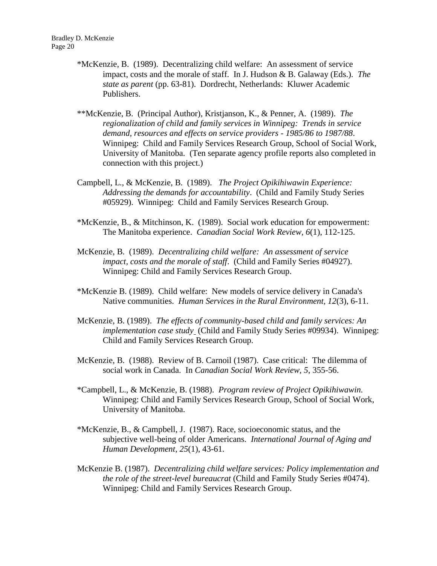- \*McKenzie, B. (1989). Decentralizing child welfare: An assessment of service impact, costs and the morale of staff. In J. Hudson & B. Galaway (Eds.). *The state as parent* (pp. 63-81). Dordrecht, Netherlands: Kluwer Academic Publishers.
- \*\*McKenzie, B. (Principal Author), Kristjanson, K., & Penner, A. (1989). *The regionalization of child and family services in Winnipeg: Trends in service demand, resources and effects on service providers - 1985/86 to 1987/88*. Winnipeg: Child and Family Services Research Group, School of Social Work, University of Manitoba. (Ten separate agency profile reports also completed in connection with this project.)
- Campbell, L., & McKenzie, B. (1989). *The Project Opikihiwawin Experience: Addressing the demands for accountability*. (Child and Family Study Series #05929). Winnipeg: Child and Family Services Research Group.
- \*McKenzie, B., & Mitchinson, K. (1989). Social work education for empowerment: The Manitoba experience. *Canadian Social Work Review, 6*(1), 112-125.
- McKenzie, B. (1989). *Decentralizing child welfare: An assessment of service impact, costs and the morale of staff*. (Child and Family Series #04927). Winnipeg: Child and Family Services Research Group.
- \*McKenzie B. (1989). Child welfare: New models of service delivery in Canada's Native communities. *Human Services in the Rural Environment, 12*(3), 6-11.
- McKenzie, B. (1989). *The effects of community-based child and family services: An implementation case study* (Child and Family Study Series #09934). Winnipeg: Child and Family Services Research Group.
- McKenzie, B. (1988). Review of B. Carnoil (1987). Case critical: The dilemma of social work in Canada. In *Canadian Social Work Review, 5*, 355-56.
- \*Campbell, L., & McKenzie, B. (1988). *Program review of Project Opikihiwawin.* Winnipeg: Child and Family Services Research Group, School of Social Work, University of Manitoba.
- \*McKenzie, B., & Campbell, J. (1987). Race, socioeconomic status, and the subjective well-being of older Americans. *International Journal of Aging and Human Development*, *25*(1), 43-61.
- McKenzie B. (1987). *Decentralizing child welfare services: Policy implementation and the role of the street-level bureaucrat* (Child and Family Study Series #0474). Winnipeg: Child and Family Services Research Group.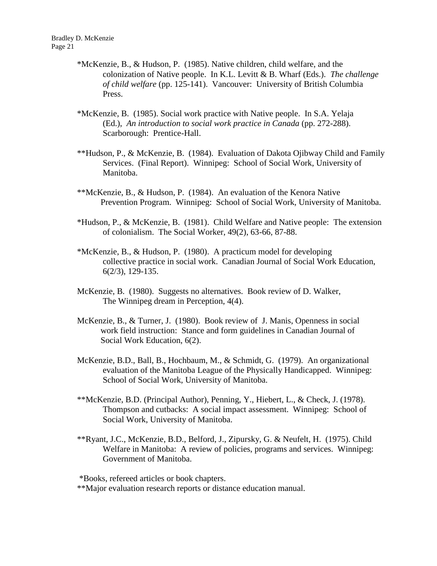- \*McKenzie, B., & Hudson, P. (1985). Native children, child welfare, and the colonization of Native people. In K.L. Levitt & B. Wharf (Eds.). *The challenge of child welfare* (pp. 125-141). Vancouver: University of British Columbia Press.
- \*McKenzie, B. (1985). Social work practice with Native people. In S.A. Yelaja (Ed.), *An introduction to social work practice in Canada* (pp. 272-288). Scarborough: Prentice-Hall.
- \*\*Hudson, P., & McKenzie, B. (1984). Evaluation of Dakota Ojibway Child and Family Services. (Final Report). Winnipeg: School of Social Work, University of Manitoba.
- \*\*McKenzie, B., & Hudson, P. (1984). An evaluation of the Kenora Native Prevention Program. Winnipeg: School of Social Work, University of Manitoba.
- \*Hudson, P., & McKenzie, B. (1981). Child Welfare and Native people: The extension of colonialism. The Social Worker, 49(2), 63-66, 87-88.
- \*McKenzie, B., & Hudson, P. (1980). A practicum model for developing collective practice in social work. Canadian Journal of Social Work Education, 6(2/3), 129-135.
- McKenzie, B. (1980). Suggests no alternatives. Book review of D. Walker, The Winnipeg dream in Perception, 4(4).
- McKenzie, B., & Turner, J. (1980). Book review of J. Manis, Openness in social work field instruction: Stance and form guidelines in Canadian Journal of Social Work Education, 6(2).
- McKenzie, B.D., Ball, B., Hochbaum, M., & Schmidt, G. (1979). An organizational evaluation of the Manitoba League of the Physically Handicapped. Winnipeg: School of Social Work, University of Manitoba.
- \*\*McKenzie, B.D. (Principal Author), Penning, Y., Hiebert, L., & Check, J. (1978). Thompson and cutbacks: A social impact assessment. Winnipeg: School of Social Work, University of Manitoba.
- \*\*Ryant, J.C., McKenzie, B.D., Belford, J., Zipursky, G. & Neufelt, H. (1975). Child Welfare in Manitoba: A review of policies, programs and services. Winnipeg: Government of Manitoba.

\*Books, refereed articles or book chapters.

\*\*Major evaluation research reports or distance education manual.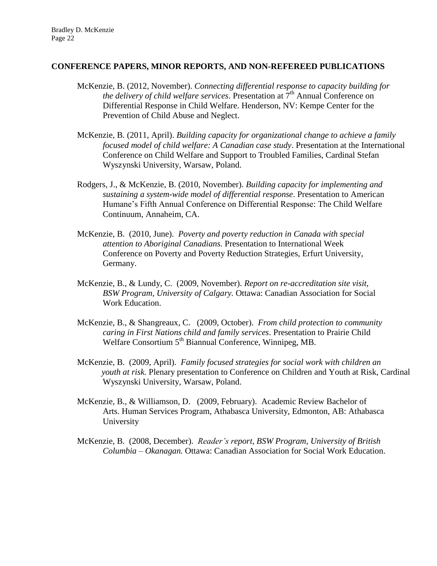#### **CONFERENCE PAPERS, MINOR REPORTS, AND NON-REFEREED PUBLICATIONS**

- McKenzie, B. (2012, November). *Connecting differential response to capacity building for the delivery of child welfare services.* Presentation at 7<sup>th</sup> Annual Conference on Differential Response in Child Welfare. Henderson, NV: Kempe Center for the Prevention of Child Abuse and Neglect.
- McKenzie, B. (2011, April). *Building capacity for organizational change to achieve a family focused model of child welfare: A Canadian case study*. Presentation at the International Conference on Child Welfare and Support to Troubled Families, Cardinal Stefan Wyszynski University, Warsaw, Poland.
- Rodgers, J., & McKenzie, B. (2010, November). *Building capacity for implementing and sustaining a system-wide model of differential response*. Presentation to American Humane's Fifth Annual Conference on Differential Response: The Child Welfare Continuum, Annaheim, CA.
- McKenzie, B. (2010, June). *Poverty and poverty reduction in Canada with special attention to Aboriginal Canadians.* Presentation to International Week Conference on Poverty and Poverty Reduction Strategies, Erfurt University, Germany.
- McKenzie, B., & Lundy, C. (2009, November). *Report on re-accreditation site visit, BSW Program, University of Calgary.* Ottawa: Canadian Association for Social Work Education.
- McKenzie, B., & Shangreaux, C. (2009, October). *From child protection to community caring in First Nations child and family services*. Presentation to Prairie Child Welfare Consortium 5<sup>th</sup> Biannual Conference, Winnipeg, MB.
- McKenzie, B. (2009, April). *Family focused strategies for social work with children an youth at risk.* Plenary presentation to Conference on Children and Youth at Risk, Cardinal Wyszynski University, Warsaw, Poland.
- McKenzie, B., & Williamson, D. (2009, February). Academic Review Bachelor of Arts. Human Services Program, Athabasca University, Edmonton, AB: Athabasca University
- McKenzie, B. (2008, December). *Reader's report, BSW Program, University of British Columbia – Okanagan.* Ottawa: Canadian Association for Social Work Education.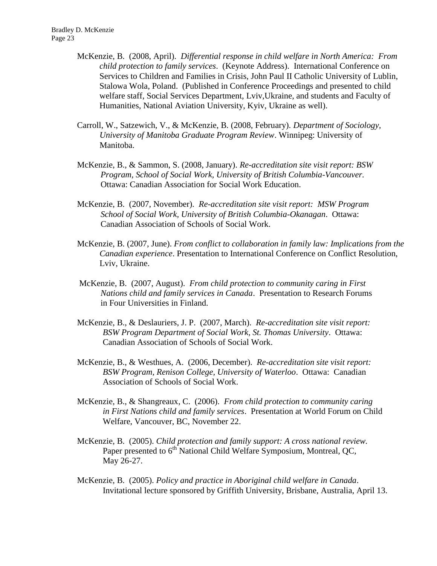- McKenzie, B. (2008, April). *Differential response in child welfare in North America: From child protection to family services*. (Keynote Address). International Conference on Services to Children and Families in Crisis, John Paul II Catholic University of Lublin, Stalowa Wola, Poland. (Published in Conference Proceedings and presented to child welfare staff, Social Services Department, Lviv,Ukraine, and students and Faculty of Humanities, National Aviation University, Kyiv, Ukraine as well).
- Carroll, W., Satzewich, V., & McKenzie, B. (2008, February). *Department of Sociology, University of Manitoba Graduate Program Review*. Winnipeg: University of Manitoba.
- McKenzie, B., & Sammon, S. (2008, January). *Re-accreditation site visit report: BSW Program, School of Social Work, University of British Columbia-Vancouver.* Ottawa: Canadian Association for Social Work Education.
- McKenzie, B. (2007, November). *Re-accreditation site visit report: MSW Program School of Social Work, University of British Columbia-Okanagan*. Ottawa: Canadian Association of Schools of Social Work.
- McKenzie, B. (2007, June). *From conflict to collaboration in family law: Implications from the Canadian experience*. Presentation to International Conference on Conflict Resolution, Lviv, Ukraine.
- McKenzie, B. (2007, August). *From child protection to community caring in First Nations child and family services in Canada*. Presentation to Research Forums in Four Universities in Finland.
- McKenzie, B., & Deslauriers, J. P. (2007, March). *Re-accreditation site visit report: BSW Program Department of Social Work, St. Thomas University*. Ottawa: Canadian Association of Schools of Social Work.
- McKenzie, B., & Westhues, A. (2006, December). *Re-accreditation site visit report: BSW Program, Renison College, University of Waterloo*. Ottawa: Canadian Association of Schools of Social Work.
- McKenzie, B., & Shangreaux, C. (2006). *From child protection to community caring in First Nations child and family services*. Presentation at World Forum on Child Welfare, Vancouver, BC, November 22.
- McKenzie, B. (2005). *Child protection and family support: A cross national review.*  Paper presented to  $6<sup>th</sup>$  National Child Welfare Symposium, Montreal, QC, May 26-27.
- McKenzie, B. (2005). *Policy and practice in Aboriginal child welfare in Canada*. Invitational lecture sponsored by Griffith University, Brisbane, Australia, April 13.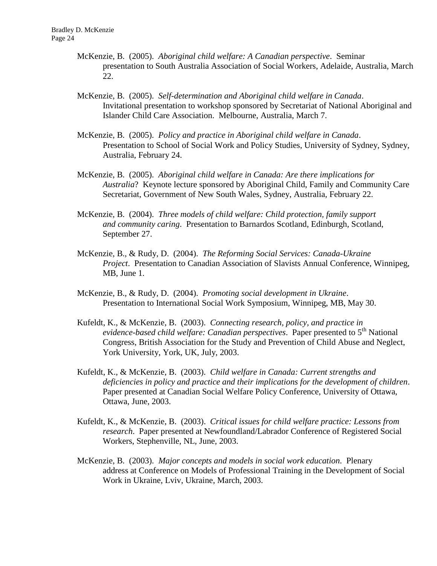- McKenzie, B. (2005). *Aboriginal child welfare: A Canadian perspective*. Seminar presentation to South Australia Association of Social Workers, Adelaide, Australia, March 22.
- McKenzie, B. (2005). *Self-determination and Aboriginal child welfare in Canada*. Invitational presentation to workshop sponsored by Secretariat of National Aboriginal and Islander Child Care Association. Melbourne, Australia, March 7.
- McKenzie, B. (2005). *Policy and practice in Aboriginal child welfare in Canada*. Presentation to School of Social Work and Policy Studies, University of Sydney, Sydney, Australia, February 24.
- McKenzie, B. (2005). *Aboriginal child welfare in Canada: Are there implications for Australia*? Keynote lecture sponsored by Aboriginal Child, Family and Community Care Secretariat, Government of New South Wales, Sydney, Australia, February 22.
- McKenzie, B. (2004). *Three models of child welfare: Child protection, family support and community caring*. Presentation to Barnardos Scotland, Edinburgh, Scotland, September 27.
- McKenzie, B., & Rudy, D. (2004). *The Reforming Social Services: Canada-Ukraine Project*. Presentation to Canadian Association of Slavists Annual Conference, Winnipeg, MB, June 1.
- McKenzie, B., & Rudy, D. (2004). *Promoting social development in Ukraine*. Presentation to International Social Work Symposium, Winnipeg, MB, May 30.
- Kufeldt, K., & McKenzie, B. (2003). *Connecting research, policy, and practice in evidence-based child welfare: Canadian perspectives.* Paper presented to 5<sup>th</sup> National Congress, British Association for the Study and Prevention of Child Abuse and Neglect, York University, York, UK, July, 2003.
- Kufeldt, K., & McKenzie, B. (2003). *Child welfare in Canada: Current strengths and deficiencies in policy and practice and their implications for the development of children*. Paper presented at Canadian Social Welfare Policy Conference, University of Ottawa, Ottawa, June, 2003.
- Kufeldt, K., & McKenzie, B. (2003). *Critical issues for child welfare practice: Lessons from research*. Paper presented at Newfoundland/Labrador Conference of Registered Social Workers, Stephenville, NL, June, 2003.
- McKenzie, B. (2003). *Major concepts and models in social work education*. Plenary address at Conference on Models of Professional Training in the Development of Social Work in Ukraine, Lviv, Ukraine, March, 2003.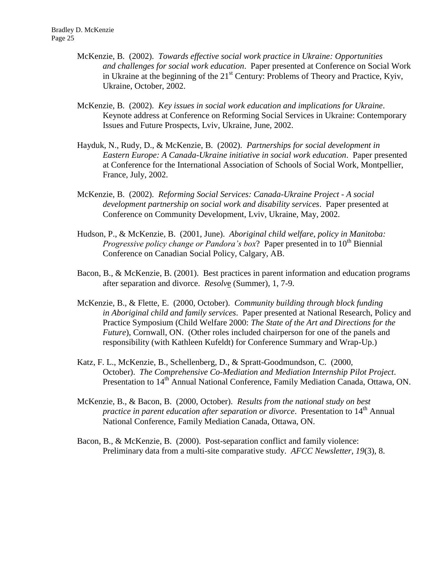- McKenzie, B. (2002). *Towards effective social work practice in Ukraine: Opportunities and challenges for social work education*. Paper presented at Conference on Social Work in Ukraine at the beginning of the  $21<sup>st</sup>$  Century: Problems of Theory and Practice, Kyiv, Ukraine, October, 2002.
- McKenzie, B. (2002). *Key issues in social work education and implications for Ukraine*. Keynote address at Conference on Reforming Social Services in Ukraine: Contemporary Issues and Future Prospects, Lviv, Ukraine, June, 2002.
- Hayduk, N., Rudy, D., & McKenzie, B. (2002). *Partnerships for social development in Eastern Europe: A Canada-Ukraine initiative in social work education*. Paper presented at Conference for the International Association of Schools of Social Work, Montpellier, France, July, 2002.
- McKenzie, B. (2002). *Reforming Social Services: Canada-Ukraine Project - A social development partnership on social work and disability services*. Paper presented at Conference on Community Development, Lviv, Ukraine, May, 2002.
- Hudson, P., & McKenzie, B. (2001, June). *Aboriginal child welfare, policy in Manitoba: Progressive policy change or Pandora's box?* Paper presented in to 10<sup>th</sup> Biennial Conference on Canadian Social Policy, Calgary, AB.
- Bacon, B., & McKenzie, B. (2001). Best practices in parent information and education programs after separation and divorce. *Resolv*e (Summer), 1, 7-9.
- McKenzie, B., & Flette, E. (2000, October). *Community building through block funding in Aboriginal child and family services*. Paper presented at National Research, Policy and Practice Symposium (Child Welfare 2000: *The State of the Art and Directions for the Future*), Cornwall, ON. (Other roles included chairperson for one of the panels and responsibility (with Kathleen Kufeldt) for Conference Summary and Wrap-Up.)
- Katz, F. L., McKenzie, B., Schellenberg, D., & Spratt-Goodmundson, C. (2000, October). *The Comprehensive Co-Mediation and Mediation Internship Pilot Project*. Presentation to 14<sup>th</sup> Annual National Conference, Family Mediation Canada, Ottawa, ON.
- McKenzie, B., & Bacon, B. (2000, October). *Results from the national study on best practice in parent education after separation or divorce.* Presentation to 14<sup>th</sup> Annual National Conference, Family Mediation Canada, Ottawa, ON.
- Bacon, B., & McKenzie, B. (2000). Post-separation conflict and family violence: Preliminary data from a multi-site comparative study. *AFCC Newsletter, 19*(3), 8.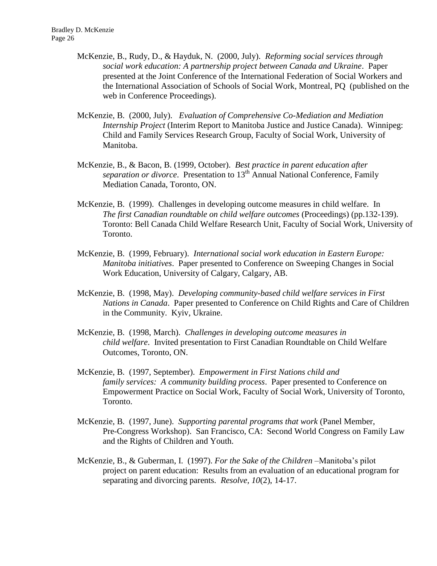- McKenzie, B., Rudy, D., & Hayduk, N. (2000, July). *Reforming social services through social work education: A partnership project between Canada and Ukraine*. Paper presented at the Joint Conference of the International Federation of Social Workers and the International Association of Schools of Social Work, Montreal, PQ (published on the web in Conference Proceedings).
- McKenzie, B. (2000, July). *Evaluation of Comprehensive Co-Mediation and Mediation Internship Project* (Interim Report to Manitoba Justice and Justice Canada). Winnipeg: Child and Family Services Research Group, Faculty of Social Work, University of Manitoba.
- McKenzie, B., & Bacon, B. (1999, October). *Best practice in parent education after separation or divorce.* Presentation to 13<sup>th</sup> Annual National Conference, Family Mediation Canada, Toronto, ON.
- McKenzie, B. (1999). Challenges in developing outcome measures in child welfare. In *The first Canadian roundtable on child welfare outcomes* (Proceedings) (pp.132-139). Toronto: Bell Canada Child Welfare Research Unit, Faculty of Social Work, University of Toronto.
- McKenzie, B. (1999, February). *International social work education in Eastern Europe: Manitoba initiatives*. Paper presented to Conference on Sweeping Changes in Social Work Education, University of Calgary, Calgary, AB.
- McKenzie, B. (1998, May). *Developing community-based child welfare services in First Nations in Canada*. Paper presented to Conference on Child Rights and Care of Children in the Community. Kyiv, Ukraine.
- McKenzie, B. (1998, March). *Challenges in developing outcome measures in child welfare*. Invited presentation to First Canadian Roundtable on Child Welfare Outcomes, Toronto, ON.
- McKenzie, B. (1997, September). *Empowerment in First Nations child and family services: A community building process*. Paper presented to Conference on Empowerment Practice on Social Work, Faculty of Social Work, University of Toronto, Toronto.
- McKenzie, B. (1997, June). *Supporting parental programs that work* (Panel Member, Pre-Congress Workshop). San Francisco, CA: Second World Congress on Family Law and the Rights of Children and Youth.
- McKenzie, B., & Guberman, I. (1997). *For the Sake of the Children* –Manitoba's pilot project on parent education: Results from an evaluation of an educational program for separating and divorcing parents. *Resolve, 10*(2), 14-17.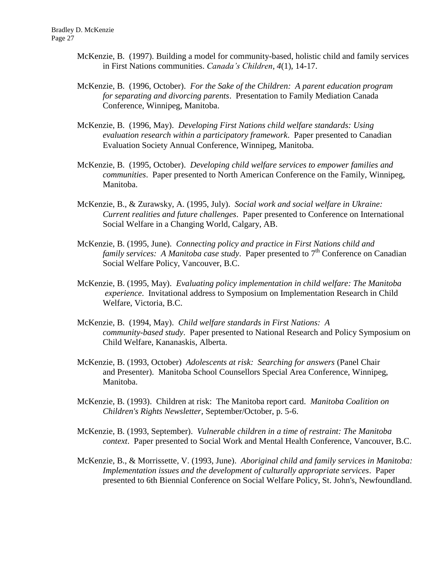- McKenzie, B. (1997). Building a model for community-based, holistic child and family services in First Nations communities. *Canada's Children*, *4*(1), 14-17.
- McKenzie, B. (1996, October). *For the Sake of the Children: A parent education program for separating and divorcing parents*. Presentation to Family Mediation Canada Conference, Winnipeg, Manitoba.
- McKenzie, B. (1996, May). *Developing First Nations child welfare standards: Using evaluation research within a participatory framework*. Paper presented to Canadian Evaluation Society Annual Conference, Winnipeg, Manitoba.
- McKenzie, B. (1995, October). *Developing child welfare services to empower families and communities*. Paper presented to North American Conference on the Family, Winnipeg, Manitoba.
- McKenzie, B., & Zurawsky, A. (1995, July). *Social work and social welfare in Ukraine: Current realities and future challenges*. Paper presented to Conference on International Social Welfare in a Changing World, Calgary, AB.
- McKenzie, B. (1995, June). *Connecting policy and practice in First Nations child and family services: A Manitoba case study.* Paper presented to 7<sup>th</sup> Conference on Canadian Social Welfare Policy, Vancouver, B.C.
- McKenzie, B. (1995, May). *Evaluating policy implementation in child welfare: The Manitoba experience*. Invitational address to Symposium on Implementation Research in Child Welfare, Victoria, B.C.
- McKenzie, B. (1994, May). *Child welfare standards in First Nations: A community-based study*. Paper presented to National Research and Policy Symposium on Child Welfare, Kananaskis, Alberta.
- McKenzie, B. (1993, October) *Adolescents at risk: Searching for answers* (Panel Chair and Presenter). Manitoba School Counsellors Special Area Conference, Winnipeg, Manitoba.
- McKenzie, B. (1993). Children at risk: The Manitoba report card. *Manitoba Coalition on Children's Rights Newsletter*, September/October, p. 5-6.
- McKenzie, B. (1993, September). *Vulnerable children in a time of restraint: The Manitoba context*. Paper presented to Social Work and Mental Health Conference, Vancouver, B.C.
- McKenzie, B., & Morrissette, V. (1993, June). *Aboriginal child and family services in Manitoba: Implementation issues and the development of culturally appropriate services*. Paper presented to 6th Biennial Conference on Social Welfare Policy, St. John's, Newfoundland.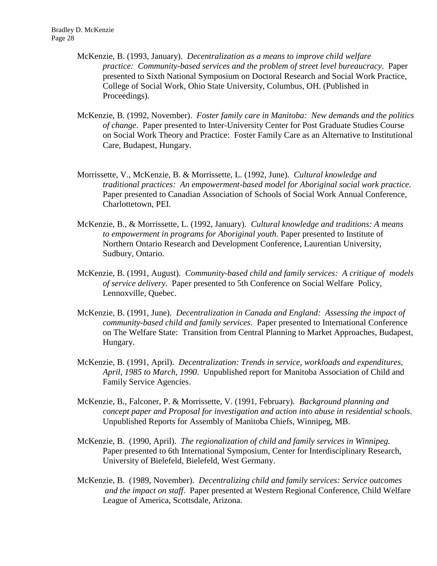- McKenzie, B. (1993, January). *Decentralization as a means to improve child welfare practice: Community-based services and the problem of street level bureaucracy*. Paper presented to Sixth National Symposium on Doctoral Research and Social Work Practice, College of Social Work, Ohio State University, Columbus, OH. (Published in Proceedings).
- McKenzie, B. (1992, November). *Foster family care in Manitoba: New demands and the politics of change*. Paper presented to Inter-University Center for Post Graduate Studies Course on Social Work Theory and Practice: Foster Family Care as an Alternative to Institutional Care, Budapest, Hungary.
- Morrissette, V., McKenzie, B. & Morrissette, L. (1992, June). *Cultural knowledge and traditional practices: An empowerment-based model for Aboriginal social work practice*. Paper presented to Canadian Association of Schools of Social Work Annual Conference, Charlottetown, PEI.
- McKenzie, B., & Morrissette, L. (1992, January). *Cultural knowledge and traditions: A means to empowerment in programs for Aboriginal youth.* Paper presented to Institute of Northern Ontario Research and Development Conference, Laurentian University, Sudbury, Ontario.
- McKenzie, B. (1991, August). *Community-based child and family services: A critique of models of service delivery*. Paper presented to 5th Conference on Social Welfare Policy, Lennoxville, Quebec.
- McKenzie, B. (1991, June). *Decentralization in Canada and England: Assessing the impact of community-based child and family services*. Paper presented to International Conference on The Welfare State: Transition from Central Planning to Market Approaches, Budapest, Hungary.
- McKenzie, B. (1991, April). *Decentralization: Trends in service, workloads and expenditures, April, 1985 to March, 1990*. Unpublished report for Manitoba Association of Child and Family Service Agencies.
- McKenzie, B., Falconer, P. & Morrissette, V. (1991, February). *Background planning and concept paper and Proposal for investigation and action into abuse in residential schools*. Unpublished Reports for Assembly of Manitoba Chiefs, Winnipeg, MB.
- McKenzie, B. (1990, April). *The regionalization of child and family services in Winnipeg.* Paper presented to 6th International Symposium, Center for Interdisciplinary Research, University of Bielefeld, Bielefeld, West Germany.
- McKenzie, B. (1989, November). *Decentralizing child and family services: Service outcomes and the impact on staff*. Paper presented at Western Regional Conference, Child Welfare League of America, Scottsdale, Arizona.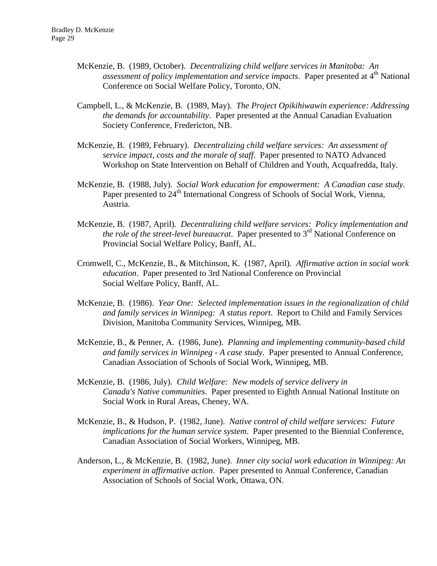- McKenzie, B. (1989, October). *Decentralizing child welfare services in Manitoba: An assessment of policy implementation and service impacts.* Paper presented at 4<sup>th</sup> National Conference on Social Welfare Policy, Toronto, ON.
- Campbell, L., & McKenzie, B. (1989, May). *The Project Opikihiwawin experience: Addressing the demands for accountability*. Paper presented at the Annual Canadian Evaluation Society Conference, Fredericton, NB.
- McKenzie, B. (1989, February). *Decentralizing child welfare services: An assessment of service impact, costs and the morale of staff*. Paper presented to NATO Advanced Workshop on State Intervention on Behalf of Children and Youth, Acquafredda, Italy.
- McKenzie, B. (1988, July). *Social Work education for empowerment: A Canadian case study.* Paper presented to 24<sup>th</sup> International Congress of Schools of Social Work, Vienna, Austria.
- McKenzie, B. (1987, April). *Decentralizing child welfare services: Policy implementation and the role of the street-level bureaucrat*. Paper presented to 3<sup>rd</sup> National Conference on Provincial Social Welfare Policy, Banff, AL.
- Cromwell, C., McKenzie, B., & Mitchinson, K. (1987, April). *Affirmative action in social work education*. Paper presented to 3rd National Conference on Provincial Social Welfare Policy, Banff, AL.
- McKenzie, B. (1986). *Year One: Selected implementation issues in the regionalization of child and family services in Winnipeg: A status report*. Report to Child and Family Services Division, Manitoba Community Services, Winnipeg, MB.
- McKenzie, B., & Penner, A. (1986, June). *Planning and implementing community-based child and family services in Winnipeg - A case study*. Paper presented to Annual Conference, Canadian Association of Schools of Social Work, Winnipeg, MB.
- McKenzie, B. (1986, July). *Child Welfare: New models of service delivery in Canada's Native communities*. Paper presented to Eighth Annual National Institute on Social Work in Rural Areas, Cheney, WA.
- McKenzie, B., & Hudson, P. (1982, June). *Native control of child welfare services: Future implications for the human service system*. Paper presented to the Biennial Conference, Canadian Association of Social Workers, Winnipeg, MB.
- Anderson, L., & McKenzie, B. (1982, June). *Inner city social work education in Winnipeg: An experiment in affirmative action*. Paper presented to Annual Conference, Canadian Association of Schools of Social Work, Ottawa, ON.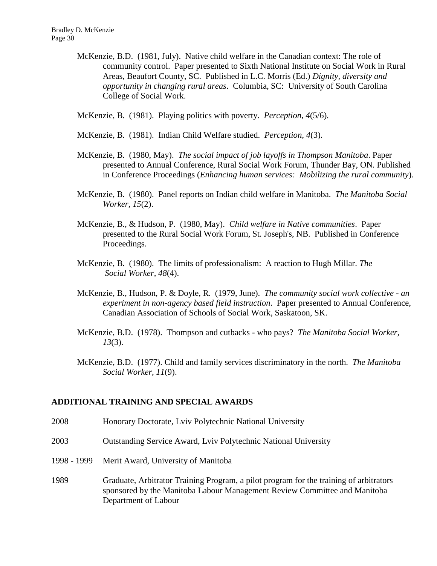McKenzie, B.D. (1981, July). Native child welfare in the Canadian context: The role of community control. Paper presented to Sixth National Institute on Social Work in Rural Areas, Beaufort County, SC. Published in L.C. Morris (Ed.) *Dignity, diversity and opportunity in changing rural areas*. Columbia, SC: University of South Carolina College of Social Work.

McKenzie, B. (1981). Playing politics with poverty. *Perception, 4*(5/6).

- McKenzie, B. (1981). Indian Child Welfare studied. *Perception, 4*(3).
- McKenzie, B. (1980, May). *The social impact of job layoffs in Thompson Manitoba*. Paper presented to Annual Conference, Rural Social Work Forum, Thunder Bay, ON. Published in Conference Proceedings (*Enhancing human services: Mobilizing the rural community*).
- McKenzie, B. (1980). Panel reports on Indian child welfare in Manitoba. *The Manitoba Social Worker, 15*(2).
- McKenzie, B., & Hudson, P. (1980, May). *Child welfare in Native communities*. Paper presented to the Rural Social Work Forum, St. Joseph's, NB. Published in Conference Proceedings.
- McKenzie, B. (1980). The limits of professionalism: A reaction to Hugh Millar. *The Social Worker, 48*(4).
- McKenzie, B., Hudson, P. & Doyle, R. (1979, June). *The community social work collective - an experiment in non-agency based field instruction*. Paper presented to Annual Conference, Canadian Association of Schools of Social Work, Saskatoon, SK.
- McKenzie, B.D. (1978). Thompson and cutbacks who pays? *The Manitoba Social Worker, 13*(3).
- McKenzie, B.D. (1977). Child and family services discriminatory in the north. *The Manitoba Social Worker, 11*(9).

#### **ADDITIONAL TRAINING AND SPECIAL AWARDS**

- 2008 Honorary Doctorate, Lviv Polytechnic National University
- 2003 Outstanding Service Award, Lviv Polytechnic National University
- 1998 1999 Merit Award, University of Manitoba
- 1989 Graduate, Arbitrator Training Program, a pilot program for the training of arbitrators sponsored by the Manitoba Labour Management Review Committee and Manitoba Department of Labour